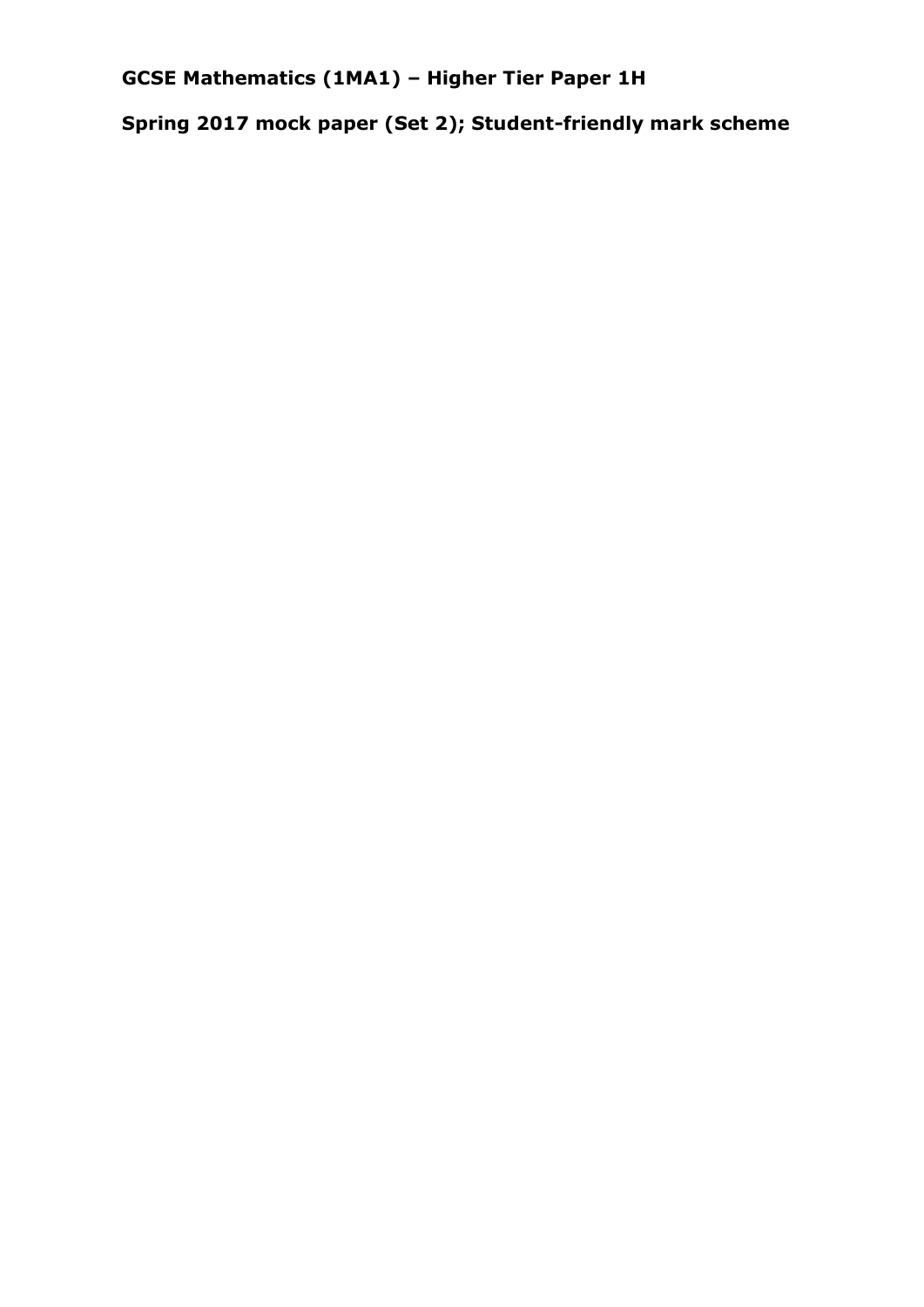**GCSE Mathematics (1MA1) – Higher Tier Paper 1H**

**Spring 2017 mock paper (Set 2); Student-friendly mark scheme**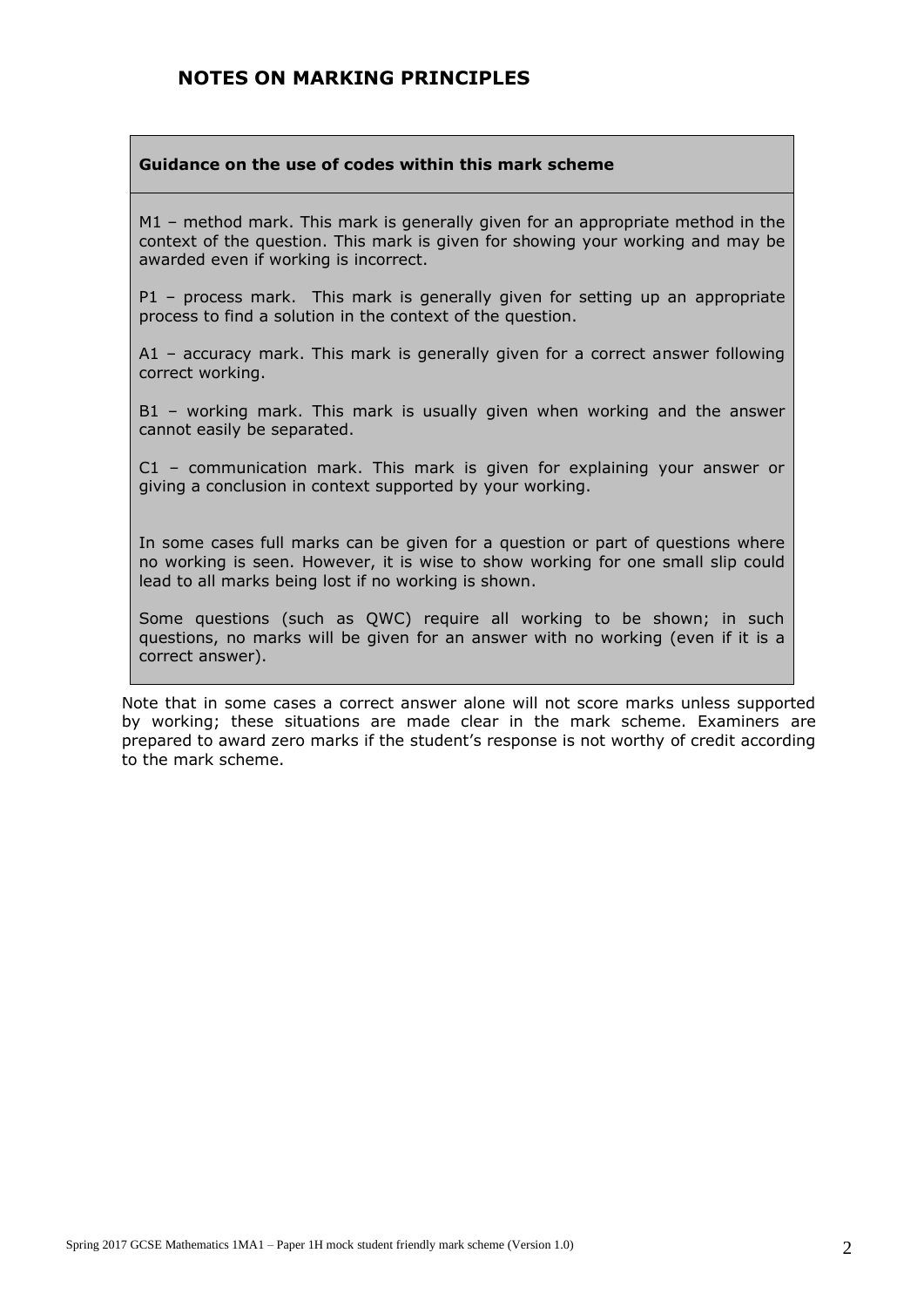#### **NOTES ON MARKING PRINCIPLES**

#### **Guidance on the use of codes within this mark scheme**

M1 – method mark. This mark is generally given for an appropriate method in the context of the question. This mark is given for showing your working and may be awarded even if working is incorrect.

P1 – process mark. This mark is generally given for setting up an appropriate process to find a solution in the context of the question.

A1 – accuracy mark. This mark is generally given for a correct answer following correct working.

B1 – working mark. This mark is usually given when working and the answer cannot easily be separated.

C1 – communication mark. This mark is given for explaining your answer or giving a conclusion in context supported by your working.

In some cases full marks can be given for a question or part of questions where no working is seen. However, it is wise to show working for one small slip could lead to all marks being lost if no working is shown.

Some questions (such as QWC) require all working to be shown; in such questions, no marks will be given for an answer with no working (even if it is a correct answer).

Note that in some cases a correct answer alone will not score marks unless supported by working; these situations are made clear in the mark scheme. Examiners are prepared to award zero marks if the student's response is not worthy of credit according to the mark scheme.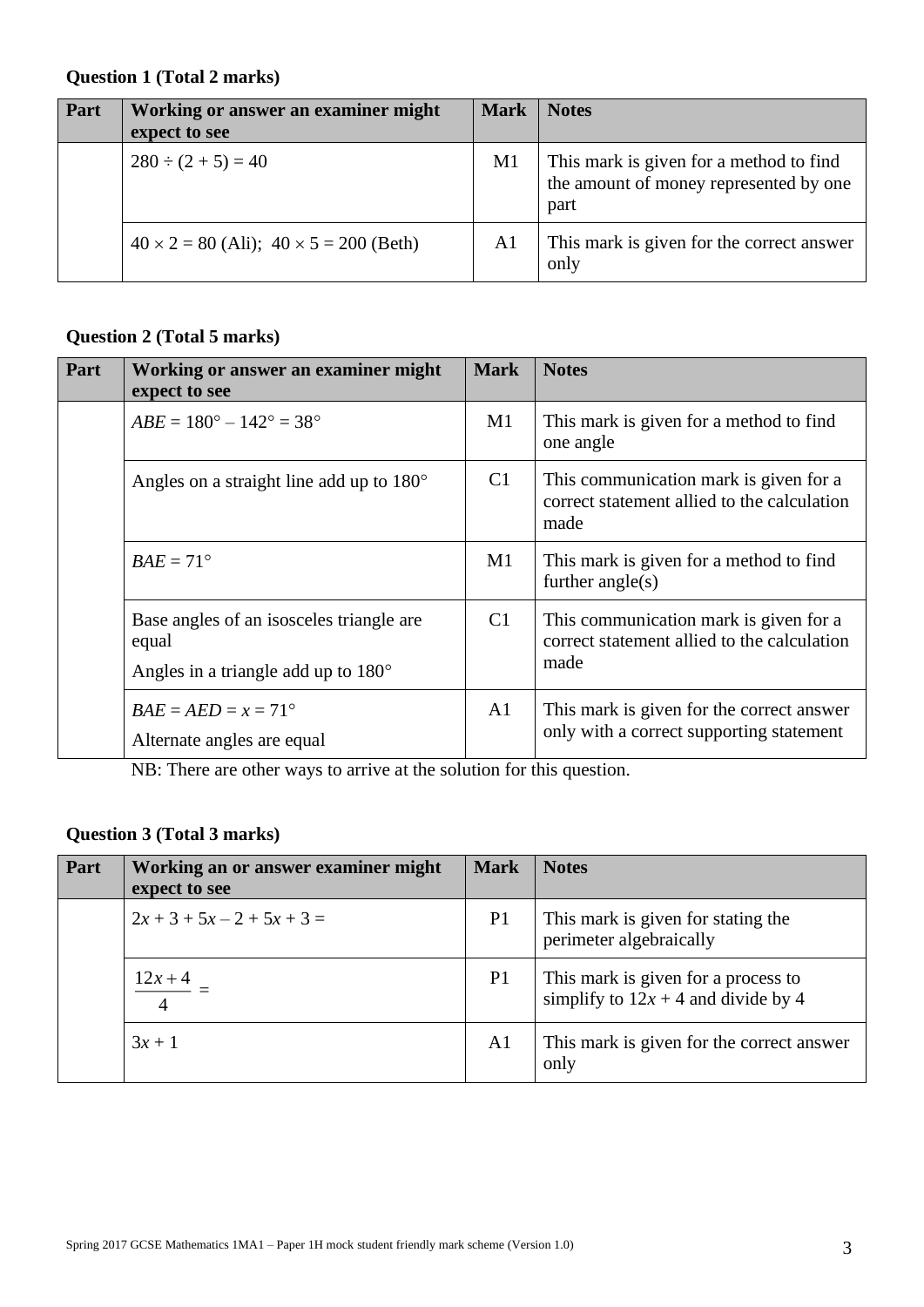#### **Question 1 (Total 2 marks)**

| Part | Working or answer an examiner might<br>expect to see | <b>Mark</b>    | <b>Notes</b>                                                                              |
|------|------------------------------------------------------|----------------|-------------------------------------------------------------------------------------------|
|      | $280 \div (2 + 5) = 40$                              | M <sub>1</sub> | This mark is given for a method to find<br>the amount of money represented by one<br>part |
|      | $40 \times 2 = 80$ (Ali); $40 \times 5 = 200$ (Beth) | A <sub>1</sub> | This mark is given for the correct answer<br>only                                         |

### **Question 2 (Total 5 marks)**

| Part | Working or answer an examiner might<br>expect to see                                              | <b>Mark</b>    | <b>Notes</b>                                                                                  |
|------|---------------------------------------------------------------------------------------------------|----------------|-----------------------------------------------------------------------------------------------|
|      | $ABE = 180^{\circ} - 142^{\circ} = 38^{\circ}$                                                    | M1             | This mark is given for a method to find<br>one angle                                          |
|      | Angles on a straight line add up to $180^\circ$                                                   | C1             | This communication mark is given for a<br>correct statement allied to the calculation<br>made |
|      | $BAE = 71^{\circ}$                                                                                | M1             | This mark is given for a method to find<br>further $angle(s)$                                 |
|      | Base angles of an isosceles triangle are<br>equal<br>Angles in a triangle add up to $180^{\circ}$ | C1             | This communication mark is given for a<br>correct statement allied to the calculation<br>made |
|      | $BAE = AED = x = 71^{\circ}$<br>Alternate angles are equal                                        | A <sub>1</sub> | This mark is given for the correct answer<br>only with a correct supporting statement         |

NB: There are other ways to arrive at the solution for this question.

### **Question 3 (Total 3 marks)**

| Part | Working an or answer examiner might<br>expect to see | <b>Mark</b>    | <b>Notes</b>                                                                 |
|------|------------------------------------------------------|----------------|------------------------------------------------------------------------------|
|      | $2x + 3 + 5x - 2 + 5x + 3 = 0$                       | P <sub>1</sub> | This mark is given for stating the<br>perimeter algebraically                |
|      | $12x + 4$<br>$\overline{4}$                          | P <sub>1</sub> | This mark is given for a process to<br>simplify to $12x + 4$ and divide by 4 |
|      | $3x + 1$                                             | A <sub>1</sub> | This mark is given for the correct answer<br>only                            |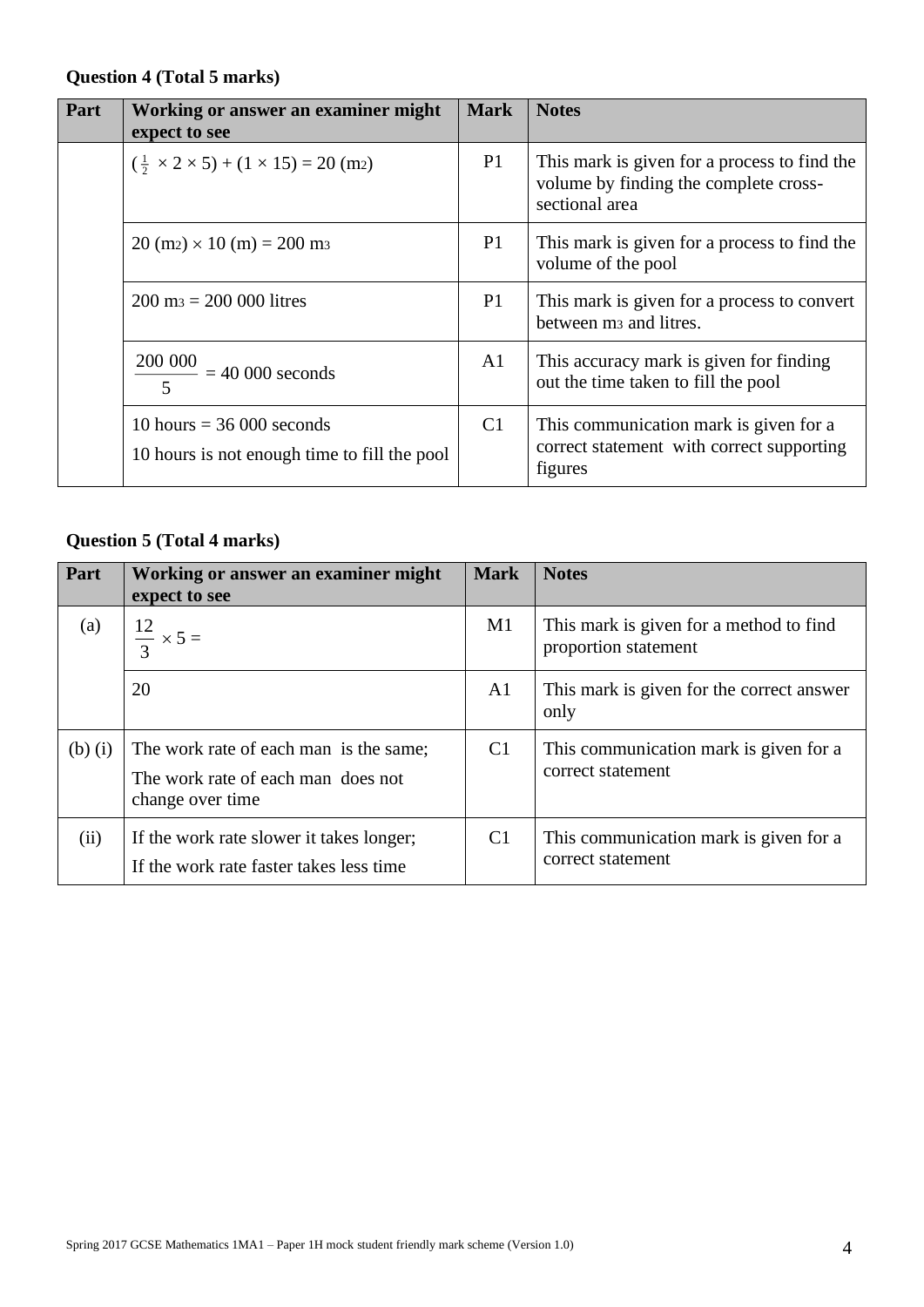### **Question 4 (Total 5 marks)**

| Part | Working or answer an examiner might<br>expect to see                        | <b>Mark</b>    | <b>Notes</b>                                                                                            |
|------|-----------------------------------------------------------------------------|----------------|---------------------------------------------------------------------------------------------------------|
|      | $(\frac{1}{2} \times 2 \times 5) + (1 \times 15) = 20$ (m2)                 | P <sub>1</sub> | This mark is given for a process to find the<br>volume by finding the complete cross-<br>sectional area |
|      | $20 \text{ (m2)} \times 10 \text{ (m)} = 200 \text{ m}$                     | P <sub>1</sub> | This mark is given for a process to find the<br>volume of the pool                                      |
|      | $200 \text{ m} = 200\,000 \text{ litres}$                                   | P <sub>1</sub> | This mark is given for a process to convert<br>between m <sub>3</sub> and litres.                       |
|      | $\frac{200\ 000}{2}$ = 40 000 seconds                                       | A <sub>1</sub> | This accuracy mark is given for finding<br>out the time taken to fill the pool                          |
|      | 10 hours $=$ 36 000 seconds<br>10 hours is not enough time to fill the pool | C <sub>1</sub> | This communication mark is given for a<br>correct statement with correct supporting<br>figures          |

# **Question 5 (Total 4 marks)**

| Part        | Working or answer an examiner might<br>expect to see                                             | <b>Mark</b>    | <b>Notes</b>                                                    |
|-------------|--------------------------------------------------------------------------------------------------|----------------|-----------------------------------------------------------------|
| (a)         | $\frac{12}{3} \times 5 =$                                                                        | M1             | This mark is given for a method to find<br>proportion statement |
|             | 20                                                                                               | A <sub>1</sub> | This mark is given for the correct answer<br>only               |
| $(b)$ $(i)$ | The work rate of each man is the same;<br>The work rate of each man does not<br>change over time | C <sub>1</sub> | This communication mark is given for a<br>correct statement     |
| (ii)        | If the work rate slower it takes longer;<br>If the work rate faster takes less time              | C <sub>1</sub> | This communication mark is given for a<br>correct statement     |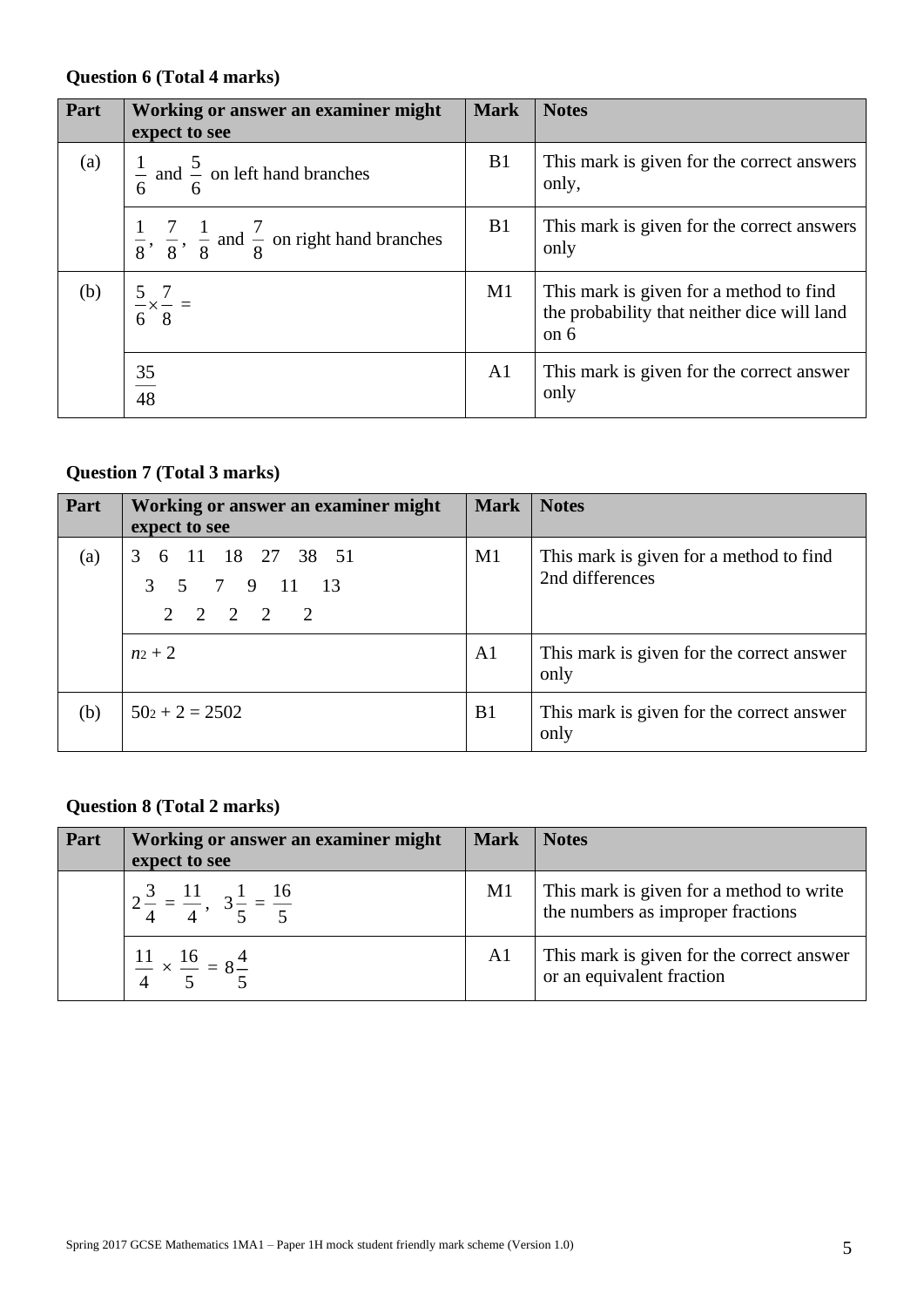### **Question 6 (Total 4 marks)**

| Part | Working or answer an examiner might<br>expect to see                                   | <b>Mark</b>    | <b>Notes</b>                                                                                     |
|------|----------------------------------------------------------------------------------------|----------------|--------------------------------------------------------------------------------------------------|
| (a)  | $\frac{1}{6}$ and $\frac{5}{6}$ on left hand branches                                  | B1             | This mark is given for the correct answers<br>only,                                              |
|      | $\frac{1}{8}$ , $\frac{7}{8}$ , $\frac{1}{8}$ and $\frac{7}{8}$ on right hand branches | B1             | This mark is given for the correct answers<br>only                                               |
| (b)  | $\frac{5}{6} \times \frac{7}{8} =$                                                     | M1             | This mark is given for a method to find<br>the probability that neither dice will land<br>on $6$ |
|      | $\frac{35}{48}$                                                                        | A <sub>1</sub> | This mark is given for the correct answer<br>only                                                |

# **Question 7 (Total 3 marks)**

| Part | Working or answer an examiner might<br>expect to see       | Mark   Notes   |                                                            |
|------|------------------------------------------------------------|----------------|------------------------------------------------------------|
| (a)  | 3 6 11 18 27 38 51<br>3 5 7 9 11 13<br>$2 \t2 \t2 \t2 \t2$ | M1             | This mark is given for a method to find<br>2nd differences |
|      | $n_2 + 2$                                                  | A <sub>1</sub> | This mark is given for the correct answer<br>only          |
| (b)  | $50z + 2 = 2502$                                           | B1             | This mark is given for the correct answer<br>only          |

### **Question 8 (Total 2 marks)**

| Part | Working or answer an examiner might                        | <b>Mark</b>    | <b>Notes</b>                                                                  |
|------|------------------------------------------------------------|----------------|-------------------------------------------------------------------------------|
|      | expect to see                                              |                |                                                                               |
|      | $2\frac{3}{4} = \frac{11}{4}, 3\frac{1}{5} = \frac{16}{5}$ | M1             | This mark is given for a method to write<br>the numbers as improper fractions |
|      | $rac{11}{4} \times \frac{16}{5} = 8\frac{4}{5}$            | A <sub>1</sub> | This mark is given for the correct answer<br>or an equivalent fraction        |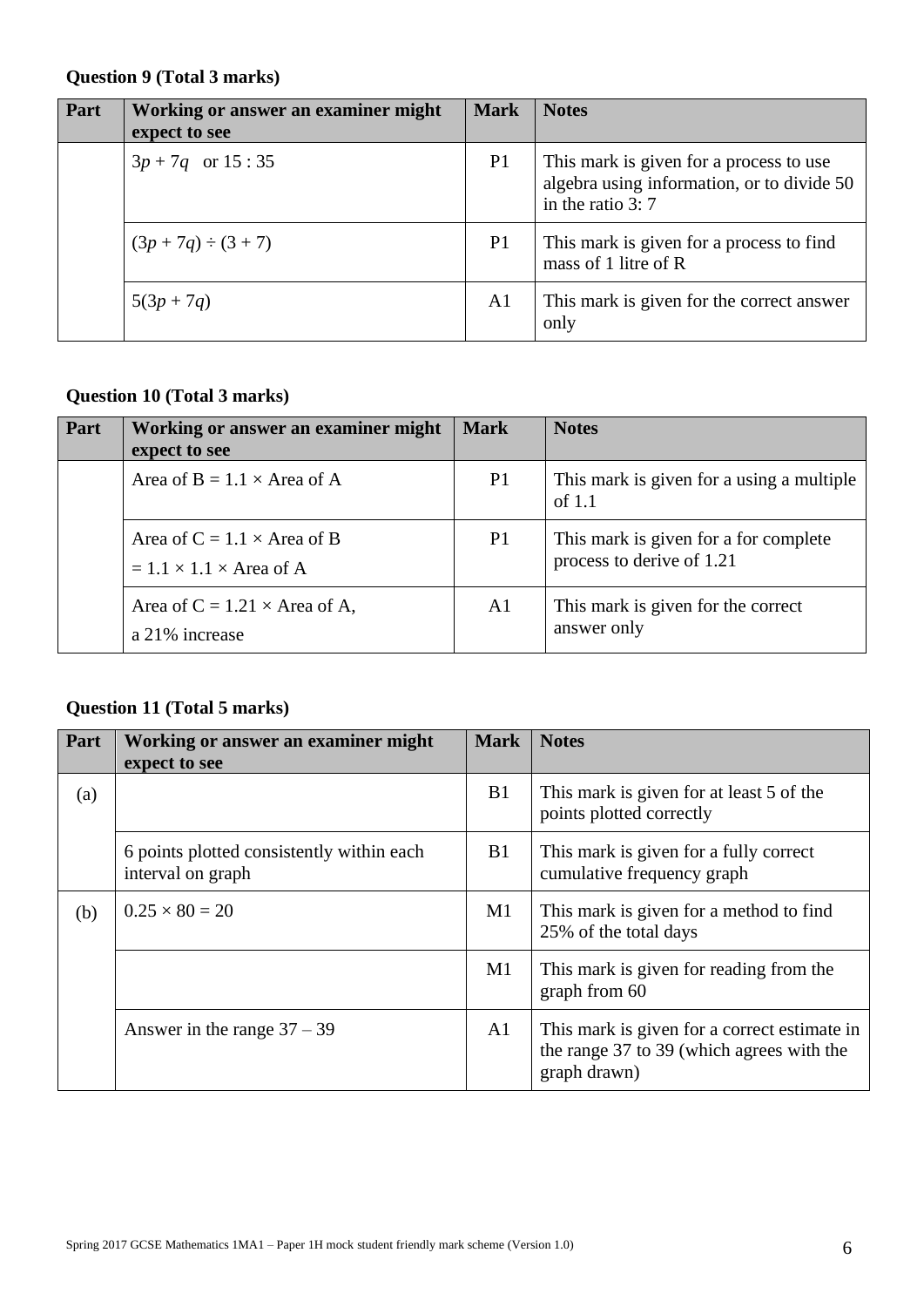### **Question 9 (Total 3 marks)**

| Part | Working or answer an examiner might<br>expect to see | <b>Mark</b>    | <b>Notes</b>                                                                                                |
|------|------------------------------------------------------|----------------|-------------------------------------------------------------------------------------------------------------|
|      | $3p + 7q$ or 15:35                                   | P <sub>1</sub> | This mark is given for a process to use<br>algebra using information, or to divide 50<br>in the ratio $3:7$ |
|      | $(3p + 7q) \div (3 + 7)$                             | P <sub>1</sub> | This mark is given for a process to find<br>mass of 1 litre of R                                            |
|      | $5(3p + 7q)$                                         | A <sub>1</sub> | This mark is given for the correct answer<br>only                                                           |

# **Question 10 (Total 3 marks)**

| Part | Working or answer an examiner might<br>expect to see                      | <b>Mark</b>    | <b>Notes</b>                                                       |
|------|---------------------------------------------------------------------------|----------------|--------------------------------------------------------------------|
|      | Area of B = $1.1 \times$ Area of A                                        | P <sub>1</sub> | This mark is given for a using a multiple<br>of $1.1$              |
|      | Area of $C = 1.1 \times$ Area of B<br>$= 1.1 \times 1.1 \times$ Area of A | P <sub>1</sub> | This mark is given for a for complete<br>process to derive of 1.21 |
|      | Area of $C = 1.21 \times$ Area of A,<br>a 21% increase                    | A1             | This mark is given for the correct<br>answer only                  |

# **Question 11 (Total 5 marks)**

| Part | Working or answer an examiner might<br>expect to see           | <b>Mark</b>    | <b>Notes</b>                                                                                              |
|------|----------------------------------------------------------------|----------------|-----------------------------------------------------------------------------------------------------------|
| (a)  |                                                                | B1             | This mark is given for at least 5 of the<br>points plotted correctly                                      |
|      | 6 points plotted consistently within each<br>interval on graph | B <sub>1</sub> | This mark is given for a fully correct<br>cumulative frequency graph                                      |
| (b)  | $0.25 \times 80 = 20$                                          | M1             | This mark is given for a method to find<br>25% of the total days                                          |
|      |                                                                | M1             | This mark is given for reading from the<br>graph from 60                                                  |
|      | Answer in the range $37 - 39$                                  | A <sub>1</sub> | This mark is given for a correct estimate in<br>the range 37 to 39 (which agrees with the<br>graph drawn) |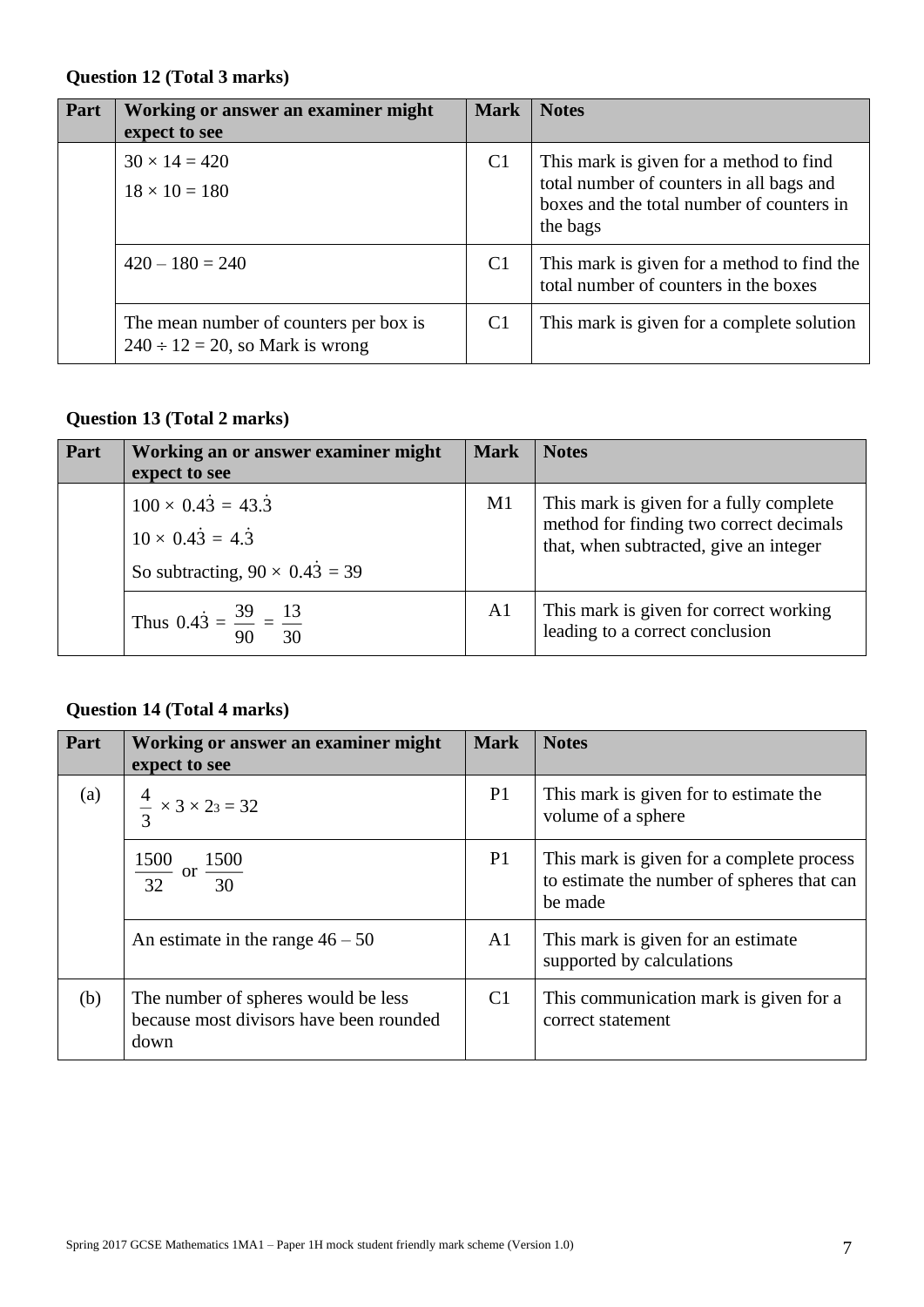### **Question 12 (Total 3 marks)**

| Part | Working or answer an examiner might<br>expect to see                            | <b>Mark</b>    | <b>Notes</b>                                                                                                                                 |
|------|---------------------------------------------------------------------------------|----------------|----------------------------------------------------------------------------------------------------------------------------------------------|
|      | $30 \times 14 = 420$<br>$18 \times 10 = 180$                                    | C <sub>1</sub> | This mark is given for a method to find<br>total number of counters in all bags and<br>boxes and the total number of counters in<br>the bags |
|      | $420 - 180 = 240$                                                               | C <sub>1</sub> | This mark is given for a method to find the<br>total number of counters in the boxes                                                         |
|      | The mean number of counters per box is<br>$240 \div 12 = 20$ , so Mark is wrong | C <sub>1</sub> | This mark is given for a complete solution                                                                                                   |

### **Question 13 (Total 2 marks)**

| Part | Working an or answer examiner might<br>expect to see                                                              | <b>Mark</b>    | <b>Notes</b>                                                                                                                 |
|------|-------------------------------------------------------------------------------------------------------------------|----------------|------------------------------------------------------------------------------------------------------------------------------|
|      | $100 \times 0.43 = 43.\overline{3}$<br>$10 \times 0.43 = 4.\overline{3}$<br>So subtracting, $90 \times 0.43 = 39$ | M1             | This mark is given for a fully complete<br>method for finding two correct decimals<br>that, when subtracted, give an integer |
|      | Thus $0.4\dot{3} = \frac{39}{90} = \frac{13}{30}$                                                                 | A <sub>1</sub> | This mark is given for correct working<br>leading to a correct conclusion                                                    |

# **Question 14 (Total 4 marks)**

| Part | Working or answer an examiner might<br>expect to see                                   | <b>Mark</b>    | <b>Notes</b>                                                                                       |
|------|----------------------------------------------------------------------------------------|----------------|----------------------------------------------------------------------------------------------------|
| (a)  | $\frac{4}{3} \times 3 \times 23 = 32$                                                  | P <sub>1</sub> | This mark is given for to estimate the<br>volume of a sphere                                       |
|      | 1500<br>or $\frac{1500}{30}$<br>$\frac{1}{32}$                                         | P <sub>1</sub> | This mark is given for a complete process<br>to estimate the number of spheres that can<br>be made |
|      | An estimate in the range $46 - 50$                                                     | A <sub>1</sub> | This mark is given for an estimate<br>supported by calculations                                    |
| (b)  | The number of spheres would be less<br>because most divisors have been rounded<br>down | C <sub>1</sub> | This communication mark is given for a<br>correct statement                                        |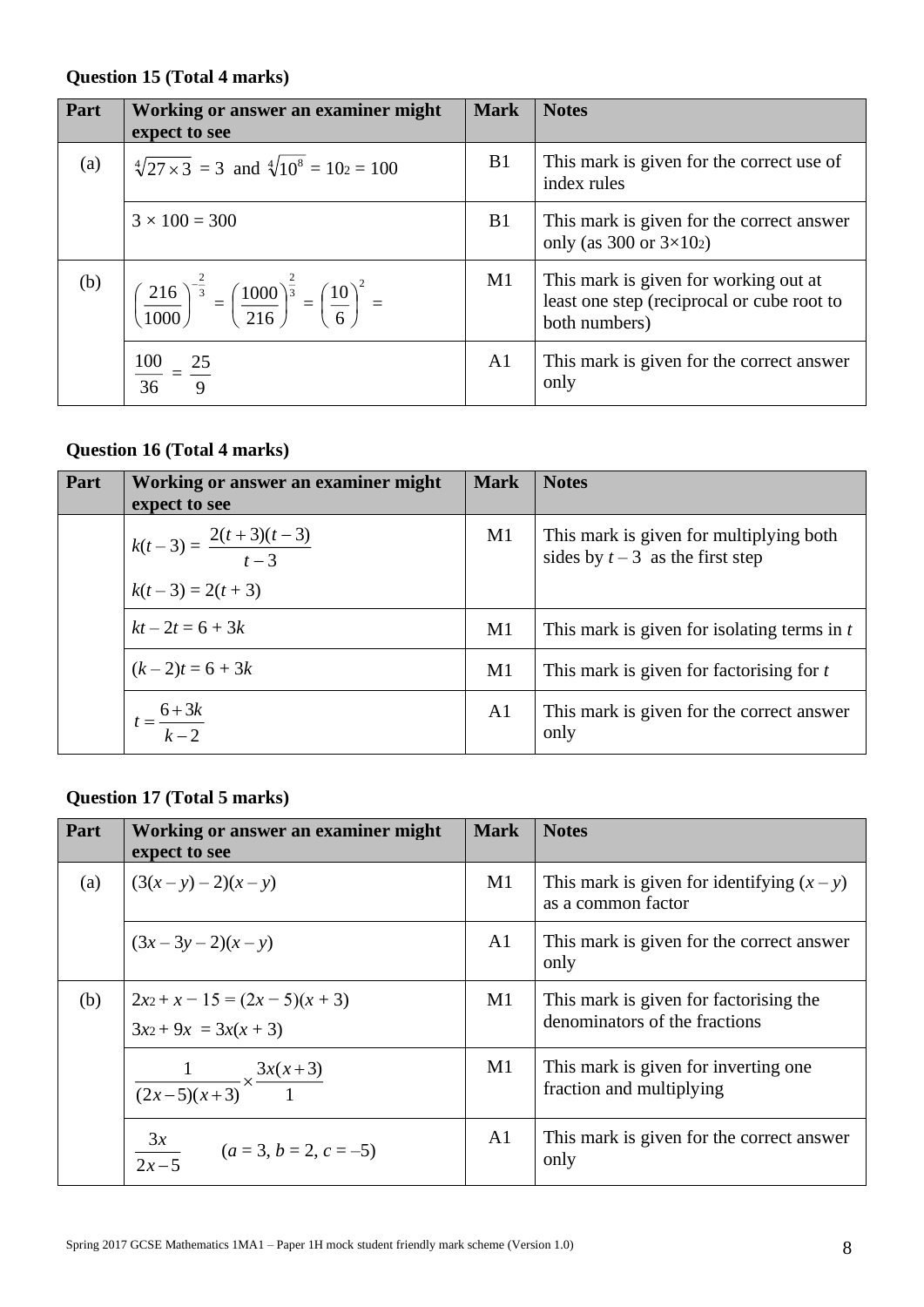### **Question 15 (Total 4 marks)**

| Part | Working or answer an examiner might<br>expect to see                                                                               | <b>Mark</b>    | <b>Notes</b>                                                                                         |
|------|------------------------------------------------------------------------------------------------------------------------------------|----------------|------------------------------------------------------------------------------------------------------|
| (a)  | $\sqrt[4]{27 \times 3}$ = 3 and $\sqrt[4]{10^8}$ = 102 = 100                                                                       | B1             | This mark is given for the correct use of<br>index rules                                             |
|      | $3 \times 100 = 300$                                                                                                               | <b>B</b> 1     | This mark is given for the correct answer<br>only (as $300$ or $3\times102$ )                        |
| (b)  | $\left( \frac{216}{1000} \right)^{-\frac{2}{3}} = \left( \frac{1000}{216} \right)^{\frac{2}{3}} = \left( \frac{10}{6} \right)^2 =$ | M1             | This mark is given for working out at<br>least one step (reciprocal or cube root to<br>both numbers) |
|      | $\frac{100}{36} = \frac{25}{9}$                                                                                                    | A <sub>1</sub> | This mark is given for the correct answer<br>only                                                    |

#### **Question 16 (Total 4 marks)**

| Part | Working or answer an examiner might<br>expect to see | <b>Mark</b>    | <b>Notes</b>                                                                |
|------|------------------------------------------------------|----------------|-----------------------------------------------------------------------------|
|      | $k(t-3) = \frac{2(t+3)(t-3)}{t-3}$                   | M1             | This mark is given for multiplying both<br>sides by $t-3$ as the first step |
|      | $k(t-3) = 2(t+3)$                                    |                |                                                                             |
|      | $kt - 2t = 6 + 3k$                                   | M1             | This mark is given for isolating terms in $t$                               |
|      | $(k-2)t = 6 + 3k$                                    | M1             | This mark is given for factorising for t                                    |
|      | $t=\frac{6+3k}{k-2}$                                 | A <sub>1</sub> | This mark is given for the correct answer<br>only                           |

# **Question 17 (Total 5 marks)**

| Part | Working or answer an examiner might<br>expect to see         | <b>Mark</b>    | <b>Notes</b>                                                            |
|------|--------------------------------------------------------------|----------------|-------------------------------------------------------------------------|
| (a)  | $(3(x - y) - 2)(x - y)$                                      | M1             | This mark is given for identifying $(x - y)$<br>as a common factor      |
|      | $(3x-3y-2)(x-y)$                                             | A <sub>1</sub> | This mark is given for the correct answer<br>only                       |
| (b)  | $2x_2 + x - 15 = (2x - 5)(x + 3)$<br>$3x_2 + 9x = 3x(x + 3)$ | M1             | This mark is given for factorising the<br>denominators of the fractions |
|      | $\frac{1}{(2x-5)(x+3)} \times \frac{3x(x+3)}{1}$             | M1             | This mark is given for inverting one<br>fraction and multiplying        |
|      | $\frac{3x}{2x-5}$<br>$(a=3, b=2, c=-5)$                      | A <sub>1</sub> | This mark is given for the correct answer<br>only                       |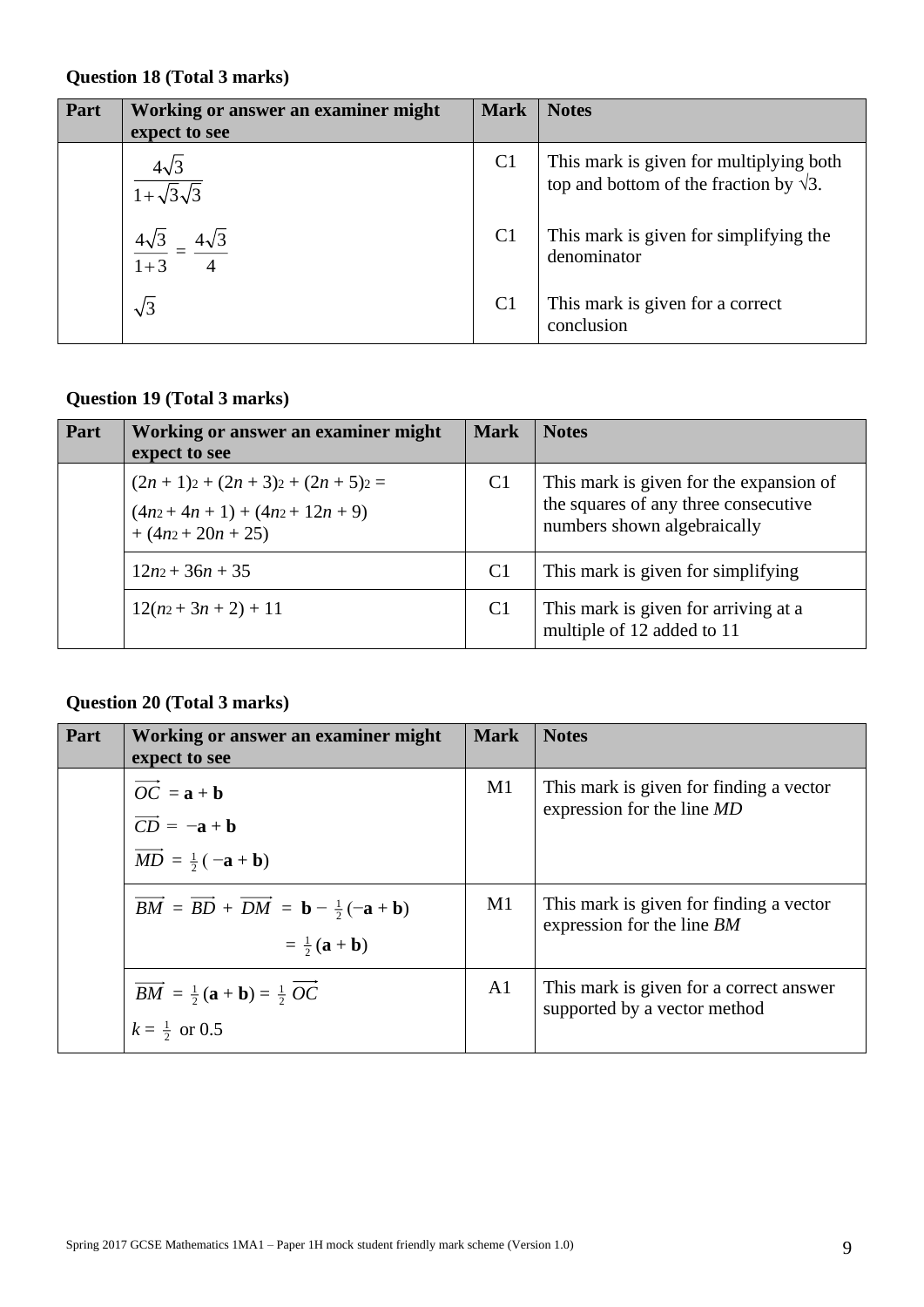### **Question 18 (Total 3 marks)**

| Part | Working or answer an examiner might<br>expect to see | <b>Mark</b>    | <b>Notes</b>                                                                              |
|------|------------------------------------------------------|----------------|-------------------------------------------------------------------------------------------|
|      | $4\sqrt{3}$<br>$1+\sqrt{3}\sqrt{3}$                  | C <sub>1</sub> | This mark is given for multiplying both<br>top and bottom of the fraction by $\sqrt{3}$ . |
|      | $4\sqrt{3}$<br>$1 + 3$                               | C <sub>1</sub> | This mark is given for simplifying the<br>denominator                                     |
|      | $\sqrt{3}$                                           | C <sub>1</sub> | This mark is given for a correct<br>conclusion                                            |

### **Question 19 (Total 3 marks)**

| Part | Working or answer an examiner might<br>expect to see                           | <b>Mark</b>    | <b>Notes</b>                                                                                                   |
|------|--------------------------------------------------------------------------------|----------------|----------------------------------------------------------------------------------------------------------------|
|      | $(2n+1)2 + (2n+3)2 + (2n+5)2 =$<br>$(4n2+4n+1)+(4n2+12n+9)$<br>$+(4n2+20n+25)$ | C <sub>1</sub> | This mark is given for the expansion of<br>the squares of any three consecutive<br>numbers shown algebraically |
|      | $12n^2+36n+35$                                                                 | C <sub>1</sub> | This mark is given for simplifying                                                                             |
|      | $12(n_2+3n+2)+11$                                                              | C <sub>1</sub> | This mark is given for arriving at a<br>multiple of 12 added to 11                                             |

#### **Question 20 (Total 3 marks)**

| Part | Working or answer an examiner might<br>expect to see                                                                                                                 | <b>Mark</b>    | <b>Notes</b>                                                            |
|------|----------------------------------------------------------------------------------------------------------------------------------------------------------------------|----------------|-------------------------------------------------------------------------|
|      | $\overrightarrow{OC} = \mathbf{a} + \mathbf{b}$<br>$\overrightarrow{CD} = -\mathbf{a} + \mathbf{b}$<br>$\overrightarrow{MD} = \frac{1}{2}(-\mathbf{a} + \mathbf{b})$ | M <sub>1</sub> | This mark is given for finding a vector<br>expression for the line MD   |
|      | $\overrightarrow{BM} = \overrightarrow{BD} + \overrightarrow{DM} = \mathbf{b} - \frac{1}{2}(\mathbf{-a} + \mathbf{b})$<br>$=\frac{1}{2}({\bf a}+{\bf b})$            | M1             | This mark is given for finding a vector<br>expression for the line BM   |
|      | $\overline{BM} = \frac{1}{2}(\mathbf{a} + \mathbf{b}) = \frac{1}{2} \text{ }OC$<br>$k = \frac{1}{2}$ or 0.5                                                          | A <sub>1</sub> | This mark is given for a correct answer<br>supported by a vector method |